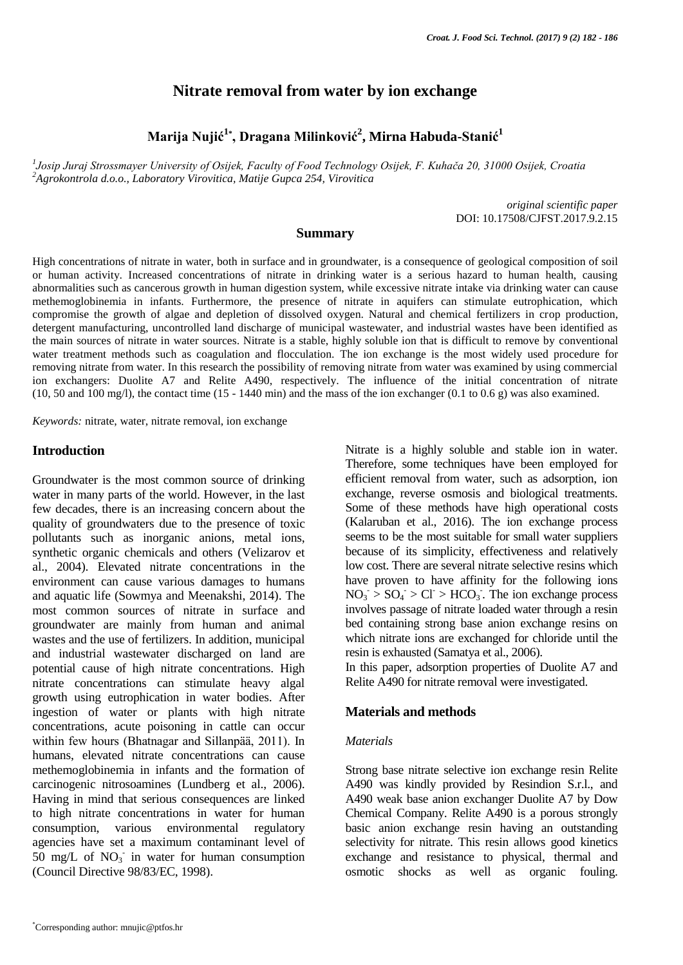# **Nitrate removal from water by ion exchange**

**Marija Nujić<sup>1</sup>\* , Dragana Milinković<sup>2</sup> , Mirna Habuda-Stanić<sup>1</sup>**

*1 Josip Juraj Strossmayer University of Osijek, Faculty of Food Technology Osijek, F. Kuhača 20, 31000 Osijek, Croatia <sup>2</sup>Agrokontrola d.o.o., Laboratory Virovitica, Matije Gupca 254, Virovitica*

> *original scientific paper* DOI: 10.17508/CJFST.2017.9.2.15

# **Summary**

High concentrations of nitrate in water, both in surface and in groundwater, is a consequence of geological composition of soil or human activity. Increased concentrations of nitrate in drinking water is a serious hazard to human health, causing abnormalities such as cancerous growth in human digestion system, while excessive nitrate intake via drinking water can cause methemoglobinemia in infants. Furthermore, the presence of nitrate in aquifers can stimulate eutrophication, which compromise the growth of algae and depletion of dissolved oxygen. Natural and chemical fertilizers in crop production, detergent manufacturing, uncontrolled land discharge of municipal wastewater, and industrial wastes have been identified as the main sources of nitrate in water sources. Nitrate is a stable, highly soluble ion that is difficult to remove by conventional water treatment methods such as coagulation and flocculation. The ion exchange is the most widely used procedure for removing nitrate from water. In this research the possibility of removing nitrate from water was examined by using commercial ion exchangers: Duolite A7 and Relite A490, respectively. The influence of the initial concentration of nitrate  $(10, 50 \text{ and } 100 \text{ mg/l})$ , the contact time  $(15 - 1440 \text{ min})$  and the mass of the ion exchanger  $(0.1 \text{ to } 0.6 \text{ g})$  was also examined.

*Keywords:* nitrate, water, nitrate removal, ion exchange

## **Introduction**

Groundwater is the most common source of drinking water in many parts of the world. However, in the last few decades, there is an increasing concern about the quality of groundwaters due to the presence of toxic pollutants such as inorganic anions, metal ions, synthetic organic chemicals and others (Velizarov et al., 2004). Elevated nitrate concentrations in the environment can cause various damages to humans and aquatic life (Sowmya and Meenakshi, 2014). The most common sources of nitrate in surface and groundwater are mainly from human and animal wastes and the use of fertilizers. In addition, municipal and industrial wastewater discharged on land are potential cause of high nitrate concentrations. High nitrate concentrations can stimulate heavy algal growth using eutrophication in water bodies. After ingestion of water or plants with high nitrate concentrations, acute poisoning in cattle can occur within few hours (Bhatnagar and Sillanpää, 2011). In humans, elevated nitrate concentrations can cause methemoglobinemia in infants and the formation of carcinogenic nitrosoamines (Lundberg et al., 2006). Having in mind that serious consequences are linked to high nitrate concentrations in water for human consumption, various environmental regulatory agencies have set a maximum contaminant level of 50 mg/L of  $NO_3^-$  in water for human consumption (Council Directive 98/83/EC, 1998).

Nitrate is a highly soluble and stable ion in water. Therefore, some techniques have been employed for efficient removal from water, such as adsorption, ion exchange, reverse osmosis and biological treatments. Some of these methods have high operational costs (Kalaruban et al., 2016). The ion exchange process seems to be the most suitable for small water suppliers because of its simplicity, effectiveness and relatively low cost. There are several nitrate selective resins which have proven to have affinity for the following ions  $NO<sub>3</sub> > SO<sub>4</sub> > Cl > HCO<sub>3</sub>$ . The ion exchange process involves passage of nitrate loaded water through a resin bed containing strong base anion exchange resins on which nitrate ions are exchanged for chloride until the resin is exhausted (Samatya et al., 2006).

In this paper, adsorption properties of Duolite A7 and Relite A490 for nitrate removal were investigated.

### **Materials and methods**

#### *Materials*

Strong base nitrate selective ion exchange resin Relite A490 was kindly provided by Resindion S.r.l., and A490 weak base anion exchanger Duolite A7 by Dow Chemical Company. Relite A490 is a porous strongly basic anion exchange resin having an outstanding selectivity for nitrate. This resin allows good kinetics exchange and resistance to physical, thermal and osmotic shocks as well as organic fouling.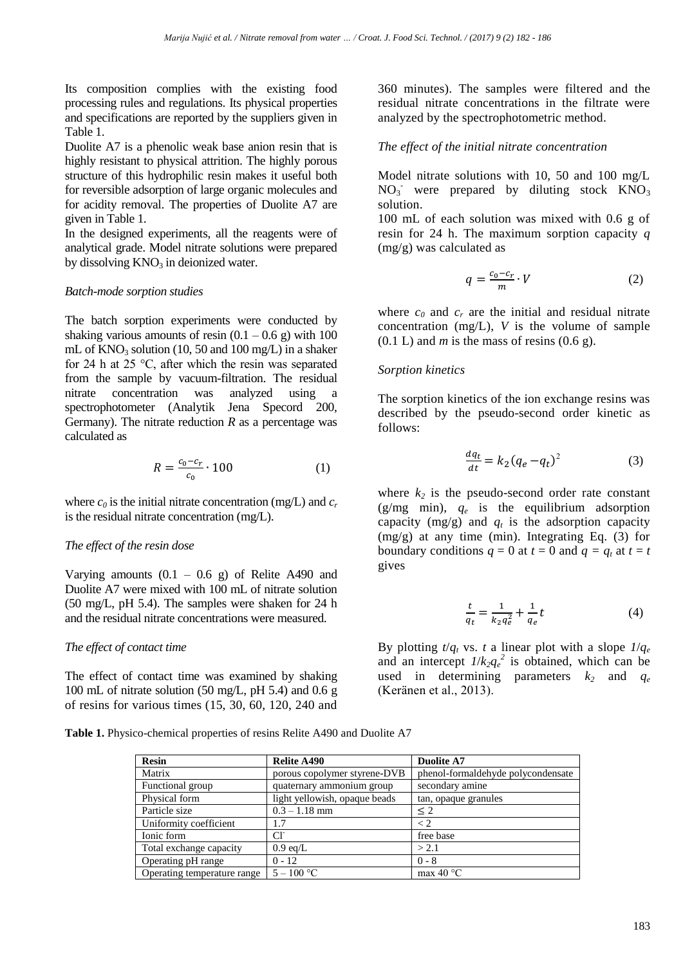Its composition complies with the existing food processing rules and regulations. Its physical properties and specifications are reported by the suppliers given in Table 1.

Duolite A7 is a phenolic weak base anion resin that is highly resistant to physical attrition. The highly porous structure of this hydrophilic resin makes it useful both for reversible adsorption of large organic molecules and for acidity removal. The properties of Duolite A7 are given in Table 1.

In the designed experiments, all the reagents were of analytical grade. Model nitrate solutions were prepared by dissolving  $KNO<sub>3</sub>$  in deionized water.

### *Batch-mode sorption studies*

The batch sorption experiments were conducted by shaking various amounts of resin  $(0.1 - 0.6 \text{ g})$  with 100 mL of  $KNO_3$  solution (10, 50 and 100 mg/L) in a shaker for 24 h at 25 °C, after which the resin was separated from the sample by vacuum-filtration. The residual nitrate concentration was analyzed using a spectrophotometer (Analytik Jena Specord 200, Germany). The nitrate reduction  $R$  as a percentage was calculated as

$$
R = \frac{c_0 - c_r}{c_0} \cdot 100\tag{1}
$$

where  $c_0$  is the initial nitrate concentration (mg/L) and  $c_r$ is the residual nitrate concentration (mg/L).

## *The effect of the resin dose*

Varying amounts  $(0.1 - 0.6$  g) of Relite A490 and Duolite A7 were mixed with 100 mL of nitrate solution (50 mg/L, pH 5.4). The samples were shaken for 24 h and the residual nitrate concentrations were measured.

### *The effect of contact time*

The effect of contact time was examined by shaking 100 mL of nitrate solution (50 mg/L, pH 5.4) and 0.6 g of resins for various times (15, 30, 60, 120, 240 and

**Table 1.** Physico-chemical properties of resins Relite A490 and Duolite A7

| <b>Resin</b>                | Relite A490                   | Duolite A7                         |  |
|-----------------------------|-------------------------------|------------------------------------|--|
| Matrix                      | porous copolymer styrene-DVB  | phenol-formaldehyde polycondensate |  |
| Functional group            | quaternary ammonium group     | secondary amine                    |  |
| Physical form               | light yellowish, opaque beads | tan, opaque granules               |  |
| Particle size               | $0.3 - 1.18$ mm               | $\leq$ 2                           |  |
| Uniformity coefficient      | 1.7                           | $\rm{<}2$                          |  |
| Ionic form                  | $Cl^{\dagger}$                | free base                          |  |
| Total exchange capacity     | $0.9 \text{ eq/L}$            | > 2.1                              |  |
| Operating pH range          | $0 - 12$                      | $0 - 8$                            |  |
| Operating temperature range | $5 - 100$ °C                  | max 40 $\degree$ C                 |  |

360 minutes). The samples were filtered and the residual nitrate concentrations in the filtrate were analyzed by the spectrophotometric method.

# *The effect of the initial nitrate concentration*

Model nitrate solutions with 10, 50 and 100 mg/L  $NO<sub>3</sub>$  were prepared by diluting stock  $KNO<sub>3</sub>$ solution.

100 mL of each solution was mixed with 0.6 g of resin for 24 h. The maximum sorption capacity *q* (mg/g) was calculated as

$$
q = \frac{c_0 - c_r}{m} \cdot V \tag{2}
$$

where  $c_0$  and  $c_r$  are the initial and residual nitrate concentration (mg/L), *V* is the volume of sample  $(0.1 L)$  and *m* is the mass of resins  $(0.6 g)$ .

### *Sorption kinetics*

The sorption kinetics of the ion exchange resins was described by the pseudo-second order kinetic as follows:

$$
\frac{dq_t}{dt} = k_2 (q_e - q_t)^2 \tag{3}
$$

where  $k_2$  is the pseudo-second order rate constant (g/mg min), *q<sup>e</sup>* is the equilibrium adsorption capacity  $(mg/g)$  and  $q_t$  is the adsorption capacity (mg/g) at any time (min). Integrating Eq. (3) for boundary conditions  $q = 0$  at  $t = 0$  and  $q = q_t$  at  $t = t$ gives

$$
\frac{t}{q_t} = \frac{1}{k_2 q_e^2} + \frac{1}{q_e} t \tag{4}
$$

By plotting  $t/q_t$  vs. *t* a linear plot with a slope  $1/q_e$ and an intercept  $1/k_2q_e^2$  is obtained, which can be used in determining parameters  $k_2$  and  $q_e$ (Keränen et al., 2013).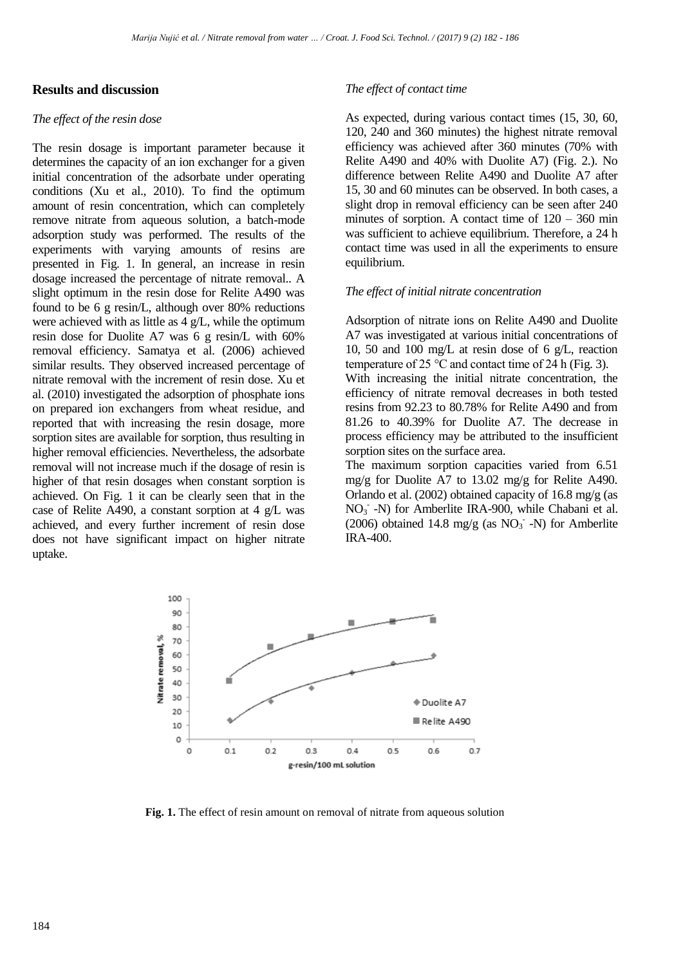## **Results and discussion**

#### *The effect of the resin dose*

The resin dosage is important parameter because it determines the capacity of an ion exchanger for a given initial concentration of the adsorbate under operating conditions (Xu et al., 2010). To find the optimum amount of resin concentration, which can completely remove nitrate from aqueous solution, a batch-mode adsorption study was performed. The results of the experiments with varying amounts of resins are presented in Fig. 1. In general, an increase in resin dosage increased the percentage of nitrate removal.. A slight optimum in the resin dose for Relite A490 was found to be 6 g resin/L, although over 80% reductions were achieved with as little as 4 g/L, while the optimum resin dose for Duolite A7 was 6 g resin/L with 60% removal efficiency. Samatya et al. (2006) achieved similar results. They observed increased percentage of nitrate removal with the increment of resin dose. Xu et al. (2010) investigated the adsorption of phosphate ions on prepared ion exchangers from wheat residue, and reported that with increasing the resin dosage, more sorption sites are available for sorption, thus resulting in higher removal efficiencies. Nevertheless, the adsorbate removal will not increase much if the dosage of resin is higher of that resin dosages when constant sorption is achieved. On Fig. 1 it can be clearly seen that in the case of Relite A490, a constant sorption at 4 g/L was achieved, and every further increment of resin dose does not have significant impact on higher nitrate uptake.

#### *The effect of contact time*

As expected, during various contact times (15, 30, 60, 120, 240 and 360 minutes) the highest nitrate removal efficiency was achieved after 360 minutes (70% with Relite A490 and 40% with Duolite A7) (Fig. 2.). No difference between Relite A490 and Duolite A7 after 15, 30 and 60 minutes can be observed. In both cases, a slight drop in removal efficiency can be seen after 240 minutes of sorption. A contact time of  $120 - 360$  min was sufficient to achieve equilibrium. Therefore, a 24 h contact time was used in all the experiments to ensure equilibrium.

#### *The effect of initial nitrate concentration*

Adsorption of nitrate ions on Relite A490 and Duolite A7 was investigated at various initial concentrations of 10, 50 and 100 mg/L at resin dose of 6 g/L, reaction temperature of 25  $\degree$ C and contact time of 24 h (Fig. 3).

With increasing the initial nitrate concentration, the efficiency of nitrate removal decreases in both tested resins from 92.23 to 80.78% for Relite A490 and from 81.26 to 40.39% for Duolite A7. The decrease in process efficiency may be attributed to the insufficient sorption sites on the surface area.

The maximum sorption capacities varied from 6.51 mg/g for Duolite A7 to 13.02 mg/g for Relite A490. Orlando et al. (2002) obtained capacity of 16.8 mg/g (as NO<sub>3</sub> -N) for Amberlite IRA-900, while Chabani et al. (2006) obtained 14.8 mg/g (as  $NO<sub>3</sub>$  -N) for Amberlite IRA-400.



Fig. 1. The effect of resin amount on removal of nitrate from aqueous solution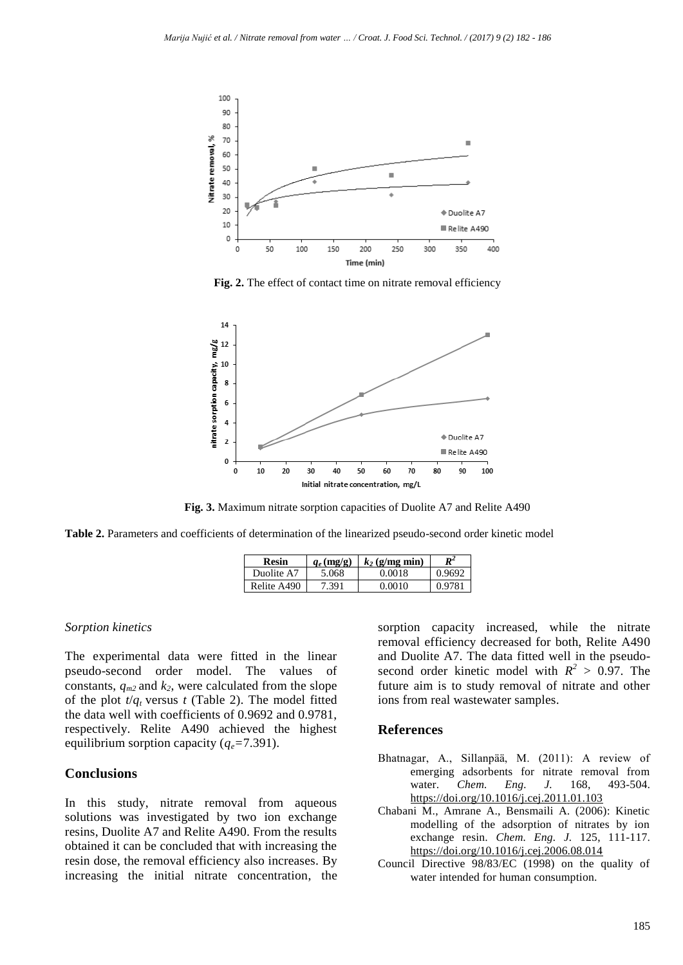

**Fig. 2.** The effect of contact time on nitrate removal efficiency



**Fig. 3.** Maximum nitrate sorption capacities of Duolite A7 and Relite A490

**Table 2.** Parameters and coefficients of determination of the linearized pseudo-second order kinetic model

| Resin       | $q_e$ (mg/g) | $k_2$ (g/mg min) | $R^2$  |
|-------------|--------------|------------------|--------|
| Duolite A7  | 5.068        | 0.0018           | 0.9692 |
| Relite A490 | '.391        | 0.0010           | 0.9781 |

#### *Sorption kinetics*

The experimental data were fitted in the linear pseudo-second order model. The values of constants,  $q_{m2}$  and  $k_2$ , were calculated from the slope of the plot  $t/q_t$  versus  $t$  (Table 2). The model fitted the data well with coefficients of 0.9692 and 0.9781, respectively. Relite A490 achieved the highest equilibrium sorption capacity  $(q_e=7.391)$ .

## **Conclusions**

In this study, nitrate removal from aqueous solutions was investigated by two ion exchange resins, Duolite A7 and Relite A490. From the results obtained it can be concluded that with increasing the resin dose, the removal efficiency also increases. By increasing the initial nitrate concentration, the sorption capacity increased, while the nitrate removal efficiency decreased for both, Relite A490 and Duolite A7. The data fitted well in the pseudosecond order kinetic model with  $R^2 > 0.97$ . The future aim is to study removal of nitrate and other ions from real wastewater samples.

#### **References**

- Bhatnagar, A., Sillanpää, M. (2011): A review of emerging adsorbents for nitrate removal from water. *Chem. Eng. J.* 168, 493-504. <https://doi.org/10.1016/j.cej.2011.01.103>
- Chabani M., Amrane A., Bensmaili A. (2006): Kinetic modelling of the adsorption of nitrates by ion exchange resin. *Chem. Eng. J.* 125, 111-117. <https://doi.org/10.1016/j.cej.2006.08.014>
- Council Directive 98/83/EC (1998) on the quality of water intended for human consumption.